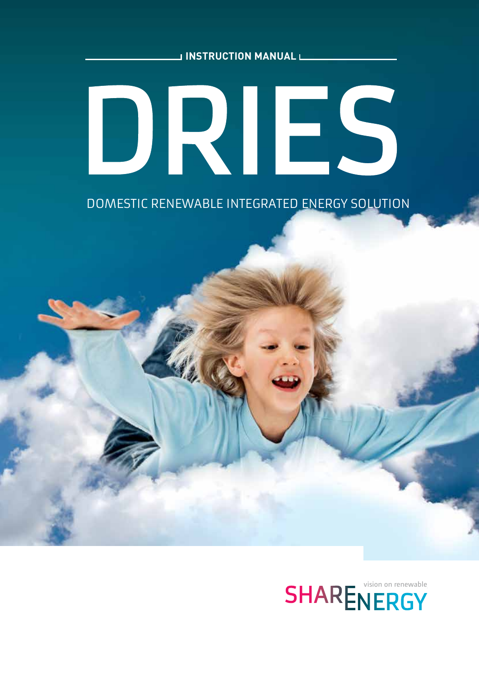**INSTRUCTION MANUAL**

# DRIES

DOMESTIC RENEWABLE INTEGRATED ENERGY SOLUTION

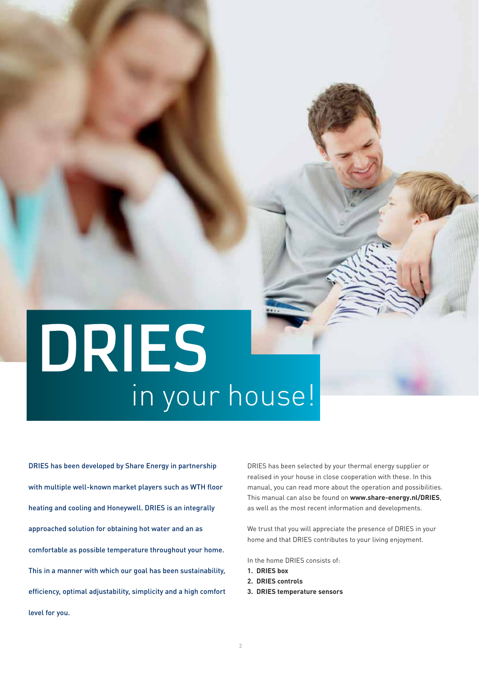# DRIES in your house!

DRIES has been developed by Share Energy in partnership with multiple well-known market players such as WTH floor heating and cooling and Honeywell. DRIES is an integrally approached solution for obtaining hot water and an as comfortable as possible temperature throughout your home. This in a manner with which our goal has been sustainability, efficiency, optimal adjustability, simplicity and a high comfort level for you.

DRIES has been selected by your thermal energy supplier or realised in your house in close cooperation with these. In this manual, you can read more about the operation and possibilities. This manual can also be found on **www.share-energy.nl/DRIES**, as well as the most recent information and developments.

We trust that you will appreciate the presence of DRIES in your home and that DRIES contributes to your living enjoyment.

In the home DRIES consists of:

- **1. DRIES box**
- **2. DRIES controls**
- **3. DRIES temperature sensors**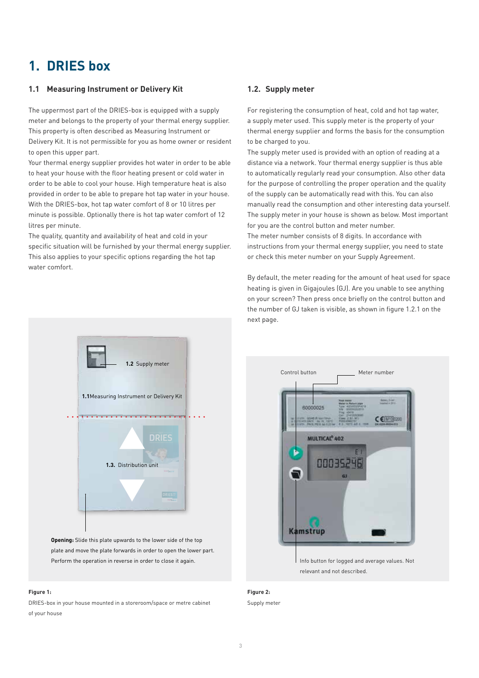### **1. DRIES box**

#### **1.1 Measuring Instrument or Delivery Kit**

The uppermost part of the DRIES-box is equipped with a supply meter and belongs to the property of your thermal energy supplier. This property is often described as Measuring Instrument or Delivery Kit. It is not permissible for you as home owner or resident to open this upper part.

Your thermal energy supplier provides hot water in order to be able to heat your house with the floor heating present or cold water in order to be able to cool your house. High temperature heat is also provided in order to be able to prepare hot tap water in your house. With the DRIES-box, hot tap water comfort of 8 or 10 litres per minute is possible. Optionally there is hot tap water comfort of 12 litres per minute.

The quality, quantity and availability of heat and cold in your specific situation will be furnished by your thermal energy supplier. This also applies to your specific options regarding the hot tap water comfort.

#### **1.2. Supply meter**

For registering the consumption of heat, cold and hot tap water, a supply meter used. This supply meter is the property of your thermal energy supplier and forms the basis for the consumption to be charged to you.

The supply meter used is provided with an option of reading at a distance via a network. Your thermal energy supplier is thus able to automatically regularly read your consumption. Also other data for the purpose of controlling the proper operation and the quality of the supply can be automatically read with this. You can also manually read the consumption and other interesting data yourself. The supply meter in your house is shown as below. Most important for you are the control button and meter number.

The meter number consists of 8 digits. In accordance with instructions from your thermal energy supplier, you need to state or check this meter number on your Supply Agreement.

By default, the meter reading for the amount of heat used for space heating is given in Gigajoules (GJ). Are you unable to see anything on your screen? Then press once briefly on the control button and the number of GJ taken is visible, as shown in figure 1.2.1 on the next page.



**Opening:** Slide this plate upwards to the lower side of the top plate and move the plate forwards in order to open the lower part. Perform the operation in reverse in order to close it again.

#### **Figure 1:**

DRIES-box in your house mounted in a storeroom/space or metre cabinet of your house



Info button for logged and average values. Not relevant and not described.

**Figure 2:** Supply meter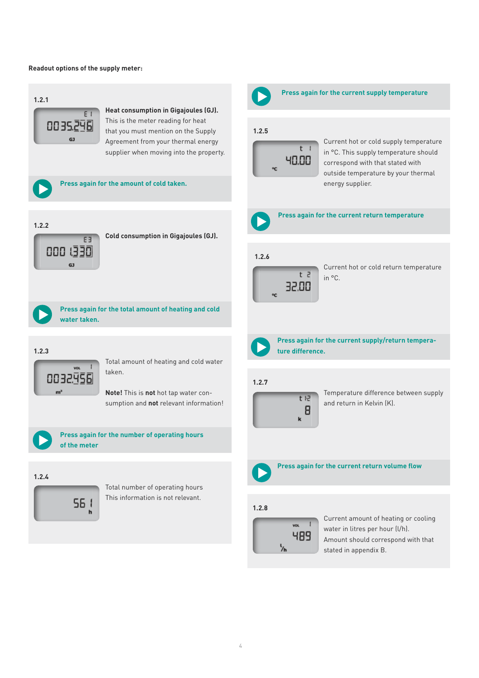#### **Readout options of the supply meter:**

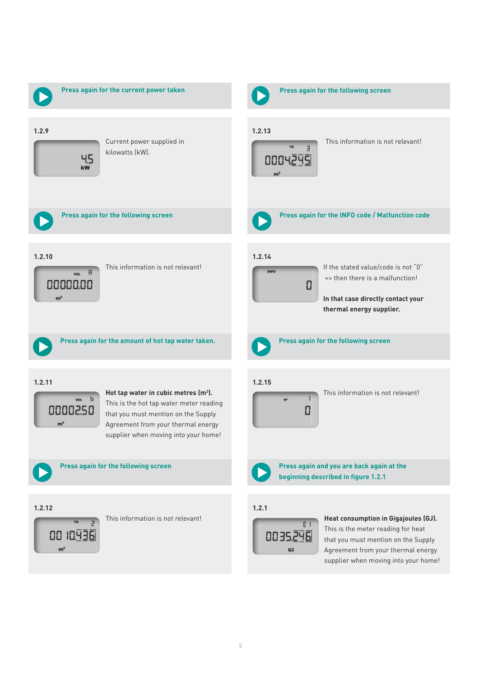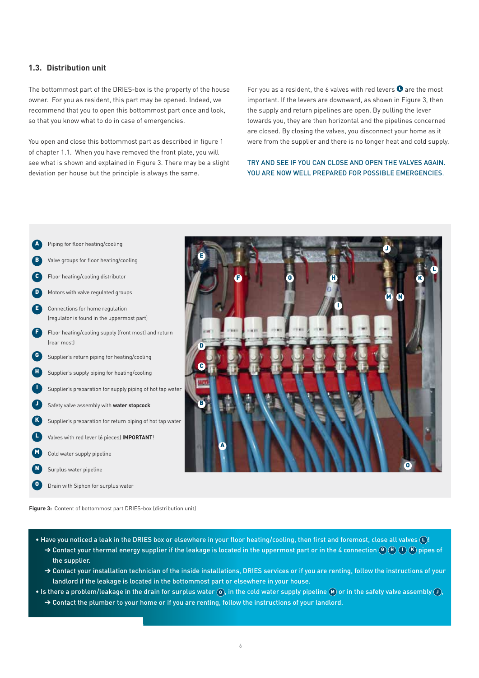#### **1.3. Distribution unit**

The bottommost part of the DRIES-box is the property of the house owner. For you as resident, this part may be opened. Indeed, we recommend that you to open this bottommost part once and look, so that you know what to do in case of emergencies.

You open and close this bottommost part as described in figure 1 of chapter 1.1. When you have removed the front plate, you will see what is shown and explained in Figure 3. There may be a slight deviation per house but the principle is always the same.

For you as a resident, the 6 valves with red levers  $\bullet$  are the most important. If the levers are downward, as shown in Figure 3, then the supply and return pipelines are open. By pulling the lever towards you, they are then horizontal and the pipelines concerned are closed. By closing the valves, you disconnect your home as it were from the supplier and there is no longer heat and cold supply.

#### TRY AND SEE IF YOU CAN CLOSE AND OPEN THE VALVES AGAIN. YOU ARE NOW WELL PREPARED FOR POSSIBLE EMERGENCIES.



**Figure 3:** Content of bottommost part DRIES-box (distribution unit)

- Have you noticed a leak in the DRIES box or elsewhere in your floor heating/cooling, then first and foremost, close all valves  $\Box$ !  $\to$  Contact your thermal energy supplier if the leakage is located in the uppermost part or in the 4 connection  $\textcircled{\scriptsize{6}}$  (H)  $\textcircled{\scriptsize{1}}$  (K) pipes of the supplier.
	- → Contact your installation technician of the inside installations, DRIES services or if you are renting, follow the instructions of your landlord if the leakage is located in the bottommost part or elsewhere in your house.
- Is there a problem/leakage in the drain for surplus water  $\Omega$ , in the cold water supply pipeline  $\Omega$  or in the safety valve assembly  $\Omega$ ,
	- → Contact the plumber to your home or if you are renting, follow the instructions of your landlord.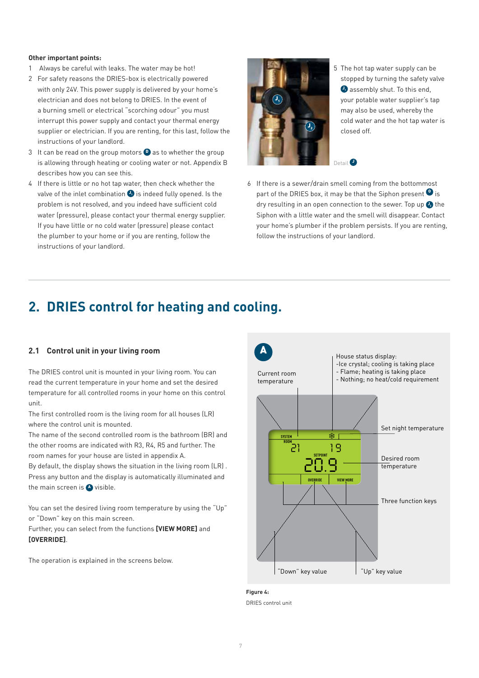#### **Other important points:**

- 1 Always be careful with leaks. The water may be hot!
- 2 For safety reasons the DRIES-box is electrically powered with only 24V. This power supply is delivered by your home's electrician and does not belong to DRIES. In the event of a burning smell or electrical "scorching odour" you must interrupt this power supply and contact your thermal energy supplier or electrician. If you are renting, for this last, follow the instructions of your landlord.
- 3 It can be read on the group motors **D** as to whether the group is allowing through heating or cooling water or not. Appendix B describes how you can see this.
- 4 If there is little or no hot tap water, then check whether the valve of the inlet combination  $\bullet$  is indeed fully opened. Is the problem is not resolved, and you indeed have sufficient cold water (pressure), please contact your thermal energy supplier. If you have little or no cold water (pressure) please contact the plumber to your home or if you are renting, follow the instructions of your landlord.



5 The hot tap water supply can be stopped by turning the safety valve  $\bullet$  assembly shut. To this end, your potable water supplier's tap may also be used, whereby the cold water and the hot tap water is closed off.

Detail<sup>O</sup>

6 If there is a sewer/drain smell coming from the bottommost part of the DRIES box, it may be that the Siphon present  $\bullet$  is dry resulting in an open connection to the sewer. Top up  $\bullet$  the Siphon with a little water and the smell will disappear. Contact your home's plumber if the problem persists. If you are renting, follow the instructions of your landlord.

# **2. DRIES control for heating and cooling.**

#### **2.1 Control unit in your living room**

The DRIES control unit is mounted in your living room. You can read the current temperature in your home and set the desired temperature for all controlled rooms in your home on this control unit.

The first controlled room is the living room for all houses (LR) where the control unit is mounted.

The name of the second controlled room is the bathroom (BR) and the other rooms are indicated with R3, R4, R5 and further. The room names for your house are listed in appendix A.

By default, the display shows the situation in the living room (LR) . Press any button and the display is automatically illuminated and the main screen is A visible.

You can set the desired living room temperature by using the "Up" or "Down" key on this main screen.

Further, you can select from the functions **[VIEW MORE]** and **[OVERRIDE]**.

The operation is explained in the screens below.



**Figure 4:**  DRIES control unit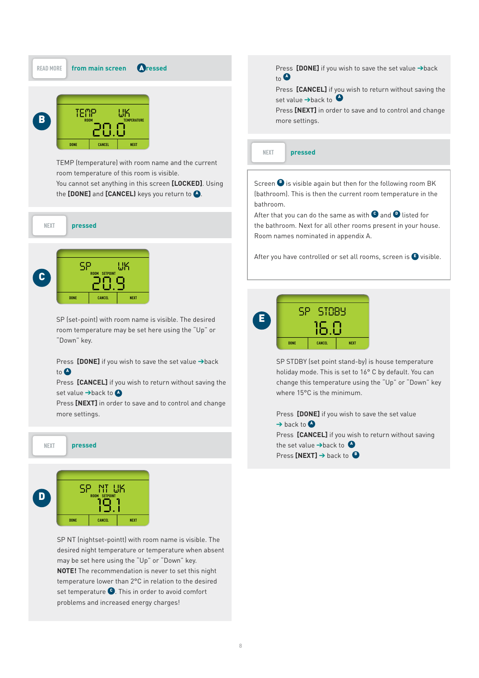



temperature lower than 2°C in relation to the desired may be set here using the "Up" or "Down" key.<br>**NOTE!** The recommendation is never to set this night SP NT (nightset-pointt) with room name is visible. The<br>desired night temperature or temperature when absent may be set here using the "Up" or "Down" key. set temperature <sup>O</sup>. This in order to avoid comfort problems and increased energy charges!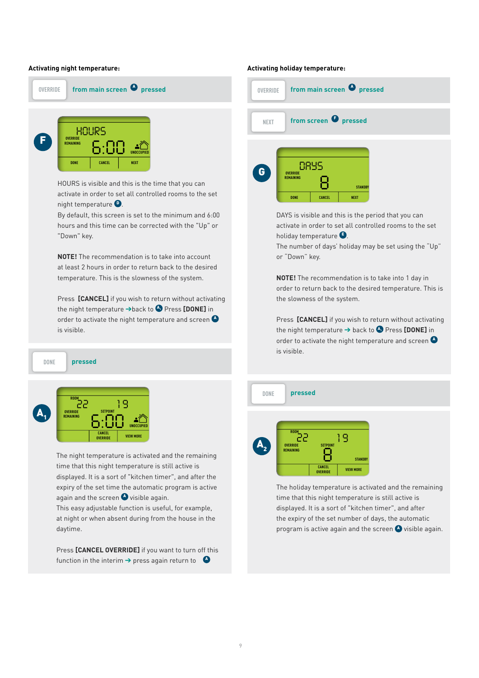#### **Activating night temperature:**



HOURS is visible and this is the time that you can<br>activate in order to set all controlled rooms to the set **DESCRIPTION IN THE PROPERTY**  $\overline{\phantom{a}}$ 

*TEMP WK*

*SP WK*

this screen<br>his time ca By default, this screen is set to the minimum and 6:00 hours and this time can be corrected with the "Up" or  $\overline{\phantom{a}}$ "Down" key.

temperature. This is the slowness of the system.<br>———————————————————— **NOTE!** The recommendation is to take into account<br>at least 2 hours in order to return back to the desired **NOTE!** The recommendation is to take into account

Press **[CANCEL]** if you wish to return without activating<br>the night temperature →back to ● Press **[DONE]** in **ROOM** order to activate the night temperature and screen <sup>A</sup> **DONE CANCEL NEXT ROOM TEMPERATURE** *18.7 1 9 22* is visible. the night temperature →back to ◆ Press **[DONE]** in *HOURS*

**DONE pressed** *6:00* **DONE CANCEL**



again and the screen **4** visible again. **OVERRIDE REMAINING** displayed. It is a sort of "kitchen timer", and after the expiry of the set time the automatic program is active **DAYS** time that this night temperature is still active is **produced** The night temperature is activated and the remaining *19.1*

**ROOM** *22* daytime. This easy adjustable function is useful, for example, This easy adjustable function is useful, for example,<br>at night or when absent during from the house in the

ess <mark>[CANCEL 0V</mark> function in the interim  $\rightarrow$  press again return to  $\left\{ \right.$ Press **[CANCEL OVERRIDE]** if you want to turn off this

#### **Activating holiday temperature:**



activate in order to set all controlled rooms to the set holiday temperature **B**. DAYS is visible and this is the period that you can

e number of day<br>"Danw" has or "Down" key. **The number of days' holiday may be set using the "Up"** 

order to return back to the desired temperature. This is the slowness of the system.<br> *20.0* **NOTE!** The recommendation is to take into 1 day in

**Press [CANCEL]** if you wish to return without activating **Exercise LOANOCCE** in you wish to return without activate<br>the night temperature → back to ◆ Press [DONE] in order to activate the night temperature and screen **C** is visible.





program is active again and the screen  $\bullet$  visible again. **ROOM TEMPERATURE** time that this night temperature is still active is displayed. It is a sort of "kitchen timer", and after<br>the expiry of the set number of days, the automatic The holiday temperature is activated and the remaining displayed. It is a sort of "kitchen timer", and after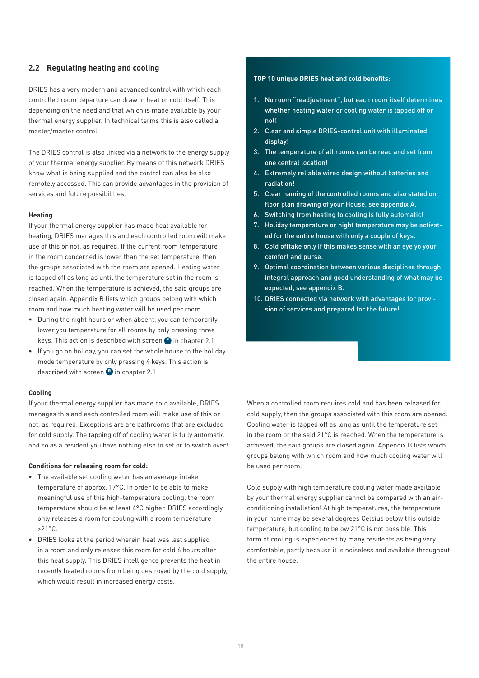#### **2.2 Regulating heating and cooling**

DRIES has a very modern and advanced control with which each controlled room departure can draw in heat or cold itself. This depending on the need and that which is made available by your thermal energy supplier. In technical terms this is also called a master/master control.

The DRIES control is also linked via a network to the energy supply of your thermal energy supplier. By means of this network DRIES know what is being supplied and the control can also be also remotely accessed. This can provide advantages in the provision of services and future possibilities.

#### **Heating**

If your thermal energy supplier has made heat available for heating, DRIES manages this and each controlled room will make use of this or not, as required. If the current room temperature in the room concerned is lower than the set temperature, then the groups associated with the room are opened. Heating water is tapped off as long as until the temperature set in the room is reached. When the temperature is achieved, the said groups are closed again. Appendix B lists which groups belong with which room and how much heating water will be used per room.

- During the night hours or when absent, you can temporarily lower you temperature for all rooms by only pressing three keys. This action is described with screen  $\bullet$  in chapter 2.1
- If you go on holiday, you can set the whole house to the holiday mode temperature by only pressing 4 keys. This action is described with screen **O** in chapter 2.1

#### **Cooling**

If your thermal energy supplier has made cold available, DRIES manages this and each controlled room will make use of this or not, as required. Exceptions are are bathrooms that are excluded for cold supply. The tapping off of cooling water is fully automatic and so as a resident you have nothing else to set or to switch over!

#### **Conditions for releasing room for cold:**

- The available set cooling water has an average intake temperature of approx. 17°C. In order to be able to make meaningful use of this high-temperature cooling, the room temperature should be at least 4°C higher. DRIES accordingly only releases a room for cooling with a room temperature  $>21^{\circ}$ C.
- DRIES looks at the period wherein heat was last supplied in a room and only releases this room for cold 6 hours after this heat supply. This DRIES intelligence prevents the heat in recently heated rooms from being destroyed by the cold supply, which would result in increased energy costs.

#### **TOP 10 unique DRIES heat and cold benefits:**

- 1. No room "readjustment", but each room itself determines whether heating water or cooling water is tapped off or not!
- 2. Clear and simple DRIES-control unit with illuminated display!
- 3. The temperature of all rooms can be read and set from one central location!
- 4. Extremely reliable wired design without batteries and radiation!
- 5. Clear naming of the controlled rooms and also stated on floor plan drawing of your House, see appendix A.
- 6. Switching from heating to cooling is fully automatic!
- 7. Holiday temperature or night temperature may be activated for the entire house with only a couple of keys.
- 8. Cold offtake only if this makes sense with an eye yo your comfort and purse.
- 9. Optimal coordination between various disciplines through integral approach and good understanding of what may be expected, see appendix B.
- 10. DRIES connected via network with advantages for provision of services and prepared for the future!

When a controlled room requires cold and has been released for cold supply, then the groups associated with this room are opened. Cooling water is tapped off as long as until the temperature set in the room or the said 21°C is reached. When the temperature is achieved, the said groups are closed again. Appendix B lists which groups belong with which room and how much cooling water will be used per room.

Cold supply with high temperature cooling water made available by your thermal energy supplier cannot be compared with an airconditioning installation! At high temperatures, the temperature in your home may be several degrees Celsius below this outside temperature, but cooling to below 21°C is not possible. This form of cooling is experienced by many residents as being very comfortable, partly because it is noiseless and available throughout the entire house.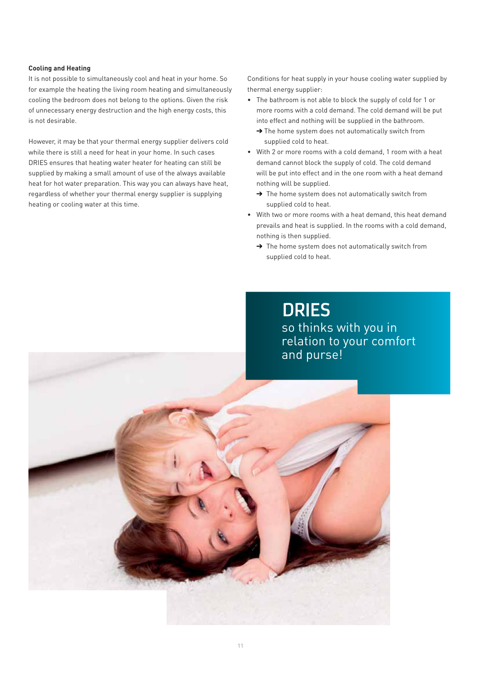#### **Cooling and Heating**

It is not possible to simultaneously cool and heat in your home. So for example the heating the living room heating and simultaneously cooling the bedroom does not belong to the options. Given the risk of unnecessary energy destruction and the high energy costs, this is not desirable.

However, it may be that your thermal energy supplier delivers cold while there is still a need for heat in your home. In such cases DRIES ensures that heating water heater for heating can still be supplied by making a small amount of use of the always available heat for hot water preparation. This way you can always have heat, regardless of whether your thermal energy supplier is supplying heating or cooling water at this time.

Conditions for heat supply in your house cooling water supplied by thermal energy supplier:

- The bathroom is not able to block the supply of cold for 1 or more rooms with a cold demand. The cold demand will be put into effect and nothing will be supplied in the bathroom.
	- ➔ The home system does not automatically switch from supplied cold to heat.
- With 2 or more rooms with a cold demand, 1 room with a heat demand cannot block the supply of cold. The cold demand will be put into effect and in the one room with a heat demand nothing will be supplied.
	- → The home system does not automatically switch from supplied cold to heat.
- With two or more rooms with a heat demand, this heat demand prevails and heat is supplied. In the rooms with a cold demand, nothing is then supplied.
	- → The home system does not automatically switch from supplied cold to heat.

**DRIES** so thinks with you in relation to your comfort and purse!

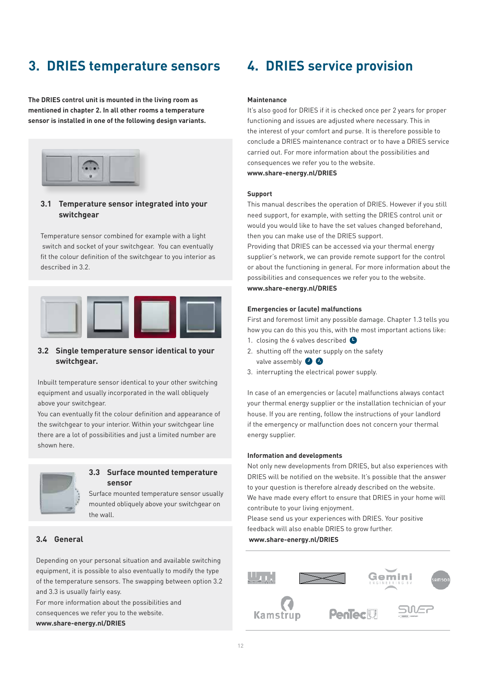# **3. DRIES temperature sensors**

**The DRIES control unit is mounted in the living room as mentioned in chapter 2. In all other rooms a temperature sensor is installed in one of the following design variants.**



#### **3.1 Temperature sensor integrated into your switchgear**

Temperature sensor combined for example with a light switch and socket of your switchgear. You can eventually fit the colour definition of the switchgear to you interior as described in 3.2.



#### **3.2 Single temperature sensor identical to your switchgear.**

Inbuilt temperature sensor identical to your other switching equipment and usually incorporated in the wall obliquely above your switchgear.

You can eventually fit the colour definition and appearance of the switchgear to your interior. Within your switchgear line there are a lot of possibilities and just a limited number are shown here.



#### **3.3 Surface mounted temperature sensor**

Surface mounted temperature sensor usually mounted obliquely above your switchgear on the wall.

#### **3.4 General**

Depending on your personal situation and available switching equipment, it is possible to also eventually to modify the type of the temperature sensors. The swapping between option 3.2 and 3.3 is usually fairly easy.

For more information about the possibilities and consequences we refer you to the website. **www.share-energy.nl/DRIES**

# **4. DRIES service provision**

#### **Maintenance**

It's also good for DRIES if it is checked once per 2 years for proper functioning and issues are adjusted where necessary. This in the interest of your comfort and purse. It is therefore possible to conclude a DRIES maintenance contract or to have a DRIES service carried out. For more information about the possibilities and consequences we refer you to the website.

**www.share-energy.nl/DRIES**

#### **Support**

This manual describes the operation of DRIES. However if you still need support, for example, with setting the DRIES control unit or would you would like to have the set values changed beforehand, then you can make use of the DRIES support.

Providing that DRIES can be accessed via your thermal energy supplier's network, we can provide remote support for the control or about the functioning in general. For more information about the possibilities and consequences we refer you to the website. **www.share-energy.nl/DRIES**

#### **Emergencies or (acute) malfunctions**

First and foremost limit any possible damage. Chapter 1.3 tells you how you can do this you this, with the most important actions like:

- 1. closing the 6 valves described  $\bullet$
- 2. shutting off the water supply on the safety valve assembly  $\bullet$
- 3. interrupting the electrical power supply.

In case of an emergencies or (acute) malfunctions always contact your thermal energy supplier or the installation technician of your house. If you are renting, follow the instructions of your landlord if the emergency or malfunction does not concern your thermal energy supplier.

#### **Information and developments**

Not only new developments from DRIES, but also experiences with DRIES will be notified on the website. It's possible that the answer to your question is therefore already described on the website. We have made every effort to ensure that DRIES in your home will contribute to your living enjoyment.

Please send us your experiences with DRIES. Your positive feedback will also enable DRIES to grow further.

 **www.share-energy.nl/DRIES**

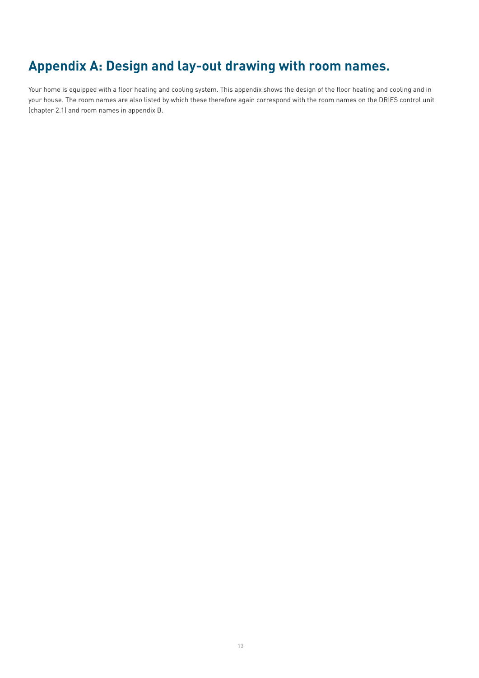# **Appendix A: Design and lay-out drawing with room names.**

Your home is equipped with a floor heating and cooling system. This appendix shows the design of the floor heating and cooling and in your house. The room names are also listed by which these therefore again correspond with the room names on the DRIES control unit (chapter 2.1) and room names in appendix B.